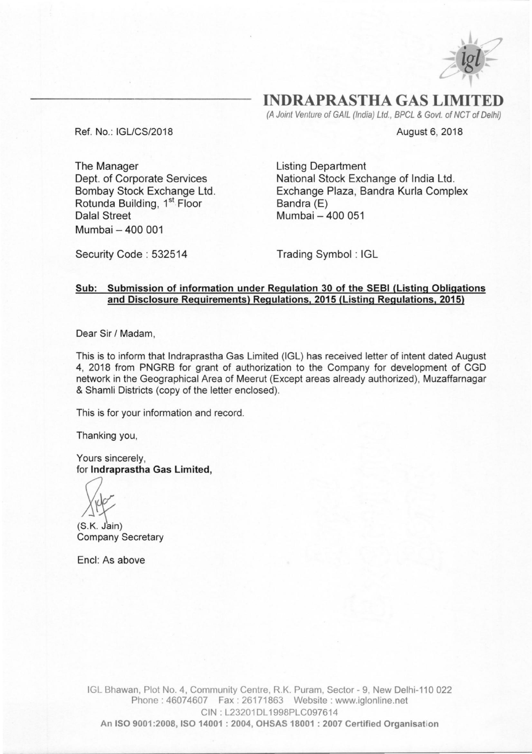

**INDRAPRASTHA GAS LIMIT** 

(A *Joint Venture of GAIL (India) Ltd., BPCL* & *Govt. of NCT of Delhi)* 

August 6, 2018

Ref. No.: *IGLlCS/2018* 

The Manager Dept. of Corporate Services Bombay Stock Exchange Ltd. Rotunda Building, 1<sup>st</sup> Floor Dalal Street Mumbai - 400 001

Listing Department National Stock Exchange of India Ltd. Exchange Plaza, Bandra Kurla Complex Bandra (E) Mumbai - 400 051

Security Code: 532514 Trading Symbol: IGL

### Sub: Submission of information under Regulation 30 of the SEBI (Listing Obligations and Disclosure Requirements) Regulations, 2015 (Listing Regulations, 2015)

Dear Sir *I* Madam,

This is to inform that Indraprastha Gas Limited (IGL) has received letter of intent dated August 4, 2018 from PNGRB for grant of authorization to the Company for development of CGO network in the Geographical Area of Meerut (Except areas already authorized), Muzaffarnagar & Shamli Districts (copy of the letter enclosed).

This is for your information and record.

Thanking you,

Yours sincerely, for Indraprastha Gas Limited,

(S *x~* .K. Jain)

Company Secretary

Encl: As above

IGL Bhawan, Plot No.4, Community Centre, R.K. Puram, Sector - 9, New Delhi-110 022 Phone: 46074607 Fax: 26171863 Website: www.iglonline.net CIN: L23201DL1998PLC097614 An ISO 9001 :2008, ISO 14001 : 2004, OH5A5 18001 : 2007 Certified Organisation